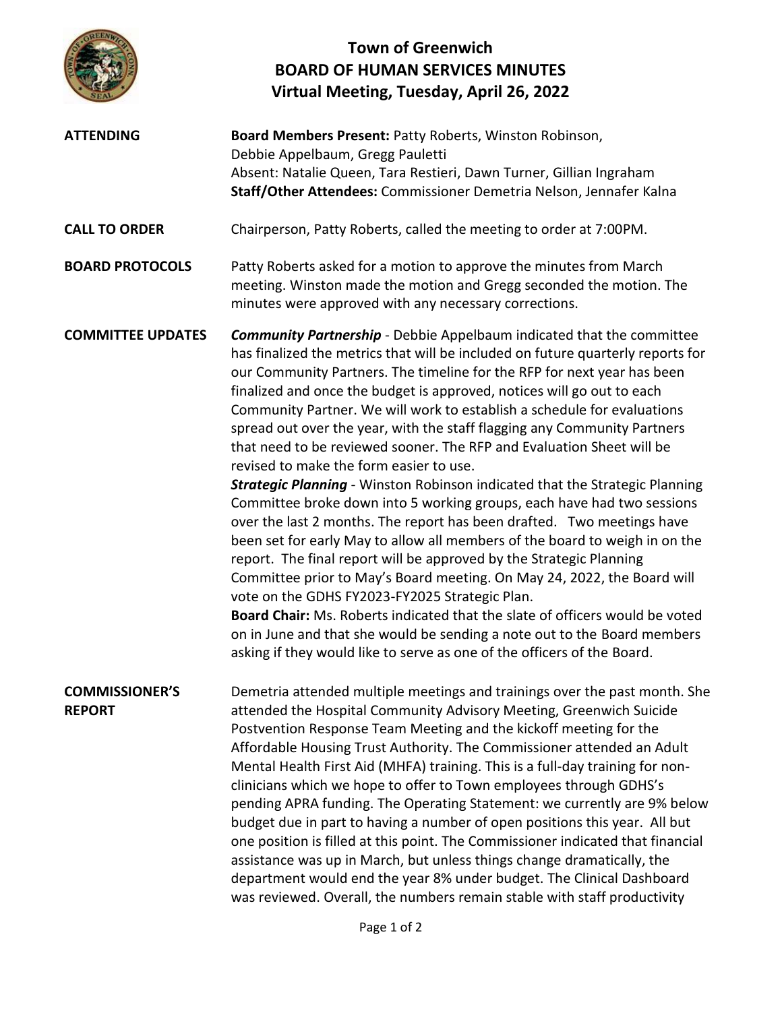

## **Town of Greenwich BOARD OF HUMAN SERVICES MINUTES Virtual Meeting, Tuesday, April 26, 2022**

**ATTENDING Board Members Present:** Patty Roberts, Winston Robinson, Debbie Appelbaum, Gregg Pauletti Absent: Natalie Queen, Tara Restieri, Dawn Turner, Gillian Ingraham **Staff/Other Attendees:** Commissioner Demetria Nelson, Jennafer Kalna **CALL TO ORDER** Chairperson, Patty Roberts, called the meeting to order at 7:00PM. **BOARD PROTOCOLS** Patty Roberts asked for a motion to approve the minutes from March meeting. Winston made the motion and Gregg seconded the motion. The minutes were approved with any necessary corrections. **COMMITTEE UPDATES** *Community Partnership* - Debbie Appelbaum indicated that the committee has finalized the metrics that will be included on future quarterly reports for our Community Partners. The timeline for the RFP for next year has been finalized and once the budget is approved, notices will go out to each Community Partner. We will work to establish a schedule for evaluations spread out over the year, with the staff flagging any Community Partners that need to be reviewed sooner. The RFP and Evaluation Sheet will be revised to make the form easier to use. *Strategic Planning* - Winston Robinson indicated that the Strategic Planning Committee broke down into 5 working groups, each have had two sessions over the last 2 months. The report has been drafted. Two meetings have been set for early May to allow all members of the board to weigh in on the report. The final report will be approved by the Strategic Planning Committee prior to May's Board meeting. On May 24, 2022, the Board will vote on the GDHS FY2023-FY2025 Strategic Plan. **Board Chair:** Ms. Roberts indicated that the slate of officers would be voted on in June and that she would be sending a note out to the Board members asking if they would like to serve as one of the officers of the Board. **COMMISSIONER'S REPORT** Demetria attended multiple meetings and trainings over the past month. She attended the Hospital Community Advisory Meeting, Greenwich Suicide Postvention Response Team Meeting and the kickoff meeting for the Affordable Housing Trust Authority. The Commissioner attended an Adult Mental Health First Aid (MHFA) training. This is a full-day training for nonclinicians which we hope to offer to Town employees through GDHS's pending APRA funding. The Operating Statement: we currently are 9% below budget due in part to having a number of open positions this year. All but one position is filled at this point. The Commissioner indicated that financial assistance was up in March, but unless things change dramatically, the department would end the year 8% under budget. The Clinical Dashboard was reviewed. Overall, the numbers remain stable with staff productivity